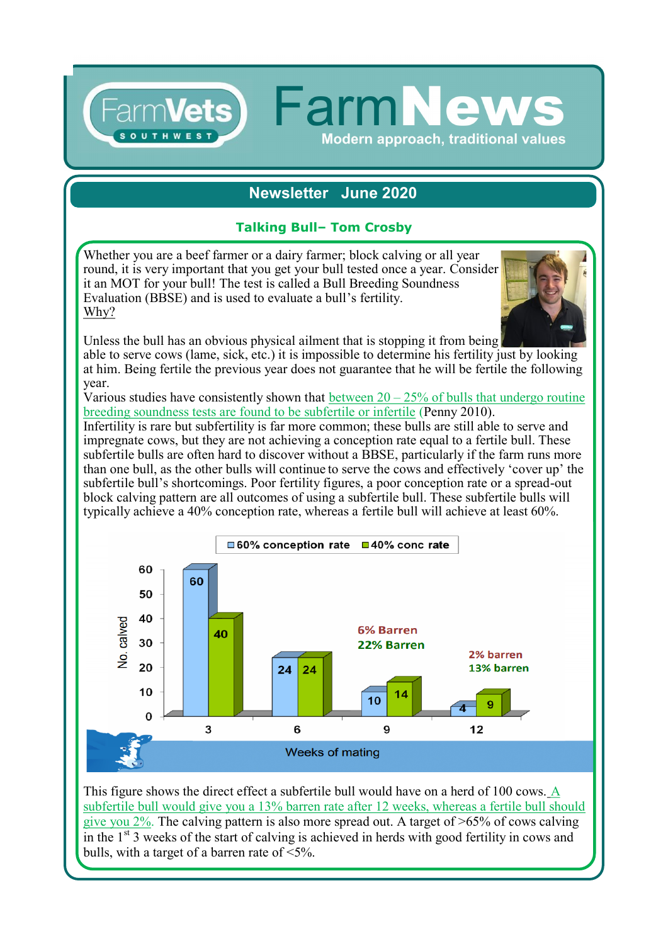# **Newsletter June 2020**

**FarmNew** 

**Modern approach, traditional values** 

### **Talking Bull– Tom Crosby**

Whether you are a beef farmer or a dairy farmer; block calving or all year round, it is very important that you get your bull tested once a year. Consider it an MOT for your bull! The test is called a Bull Breeding Soundness Evaluation (BBSE) and is used to evaluate a bull's fertility. Why?

Farm**Vets1** 



Unless the bull has an obvious physical ailment that is stopping it from being able to serve cows (lame, sick, etc.) it is impossible to determine his fertility just by looking at him. Being fertile the previous year does not guarantee that he will be fertile the following year.

Various studies have consistently shown that between  $20 - 25\%$  of bulls that undergo routine breeding soundness tests are found to be subfertile or infertile (Penny 2010).

Infertility is rare but subfertility is far more common; these bulls are still able to serve and impregnate cows, but they are not achieving a conception rate equal to a fertile bull. These subfertile bulls are often hard to discover without a BBSE, particularly if the farm runs more than one bull, as the other bulls will continue to serve the cows and effectively 'cover up' the subfertile bull's shortcomings. Poor fertility figures, a poor conception rate or a spread-out block calving pattern are all outcomes of using a subfertile bull. These subfertile bulls will typically achieve a 40% conception rate, whereas a fertile bull will achieve at least 60%.



This figure shows the direct effect a subfertile bull would have on a herd of 100 cows. A subfertile bull would give you a 13% barren rate after 12 weeks, whereas a fertile bull should give you 2%. The calving pattern is also more spread out. A target of >65% of cows calving in the  $1<sup>st</sup>$  3 weeks of the start of calving is achieved in herds with good fertility in cows and bulls, with a target of a barren rate of <5%.